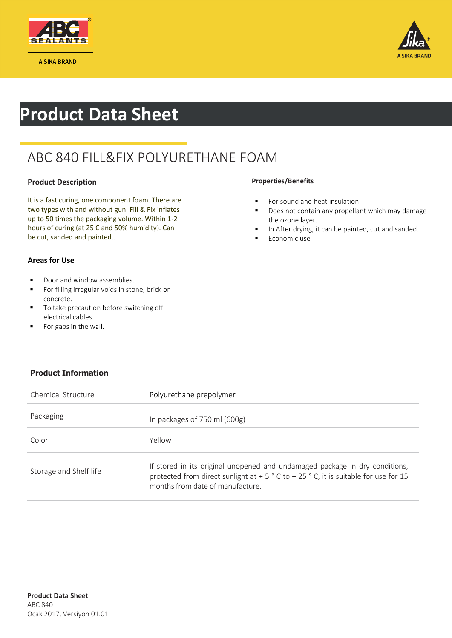



# **Product Data Sheet**

### ABC 840 FILL&FIX POLYURETHANE FOAM

### **Product Description**

It is a fast curing, one component foam. There are two types with and without gun. Fill & Fix inflates up to 50 times the packaging volume. Within 1-2 hours of curing (at 25 C and 50% humidity). Can be cut, sanded and painted..

#### **Properties/Benefits**

- **For sound and heat insulation.**
- Does not contain any propellant which may damage the ozone layer.
- In After drying, it can be painted, cut and sanded.
- Economic use

### **Areas for Use**

- **Door and window assemblies.**
- **For filling irregular voids in stone, brick or** concrete.
- $\blacksquare$  To take precaution before switching off electrical cables.
- **For gaps in the wall.**

### **Product Information**

| Chemical Structure     | Polyurethane prepolymer                                                                                                                                                                                                 |
|------------------------|-------------------------------------------------------------------------------------------------------------------------------------------------------------------------------------------------------------------------|
| Packaging              | In packages of $750$ ml $(600g)$                                                                                                                                                                                        |
| Color                  | Yellow                                                                                                                                                                                                                  |
| Storage and Shelf life | If stored in its original unopened and undamaged package in dry conditions,<br>protected from direct sunlight at + 5 $\degree$ C to + 25 $\degree$ C, it is suitable for use for 15<br>months from date of manufacture. |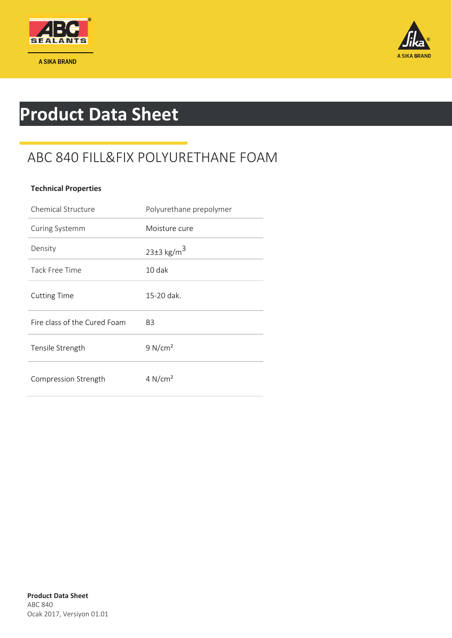

A SIKA BRAND



# **Product Data Sheet**

### ABC 840 FILL&FIX POLYURETHANE FOAM

### **Technical Properties**

| Chemical Structure           | Polyurethane prepolymer      |
|------------------------------|------------------------------|
| Curing Systemm               | Moisture cure                |
| Density                      | 23 $\pm$ 3 kg/m <sup>3</sup> |
| Tack Free Time               | 10 dak                       |
| <b>Cutting Time</b>          | 15-20 dak.                   |
| Fire class of the Cured Foam | B3                           |
| Tensile Strength             | 9 N/cm <sup>2</sup>          |
| Compression Strength         | 4 N/cm <sup>2</sup>          |